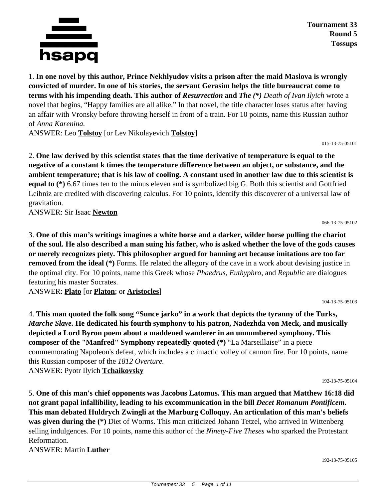

**Tournament 33 Round 5 Tossups**

1. **In one novel by this author, Prince Nekhlyudov visits a prison after the maid Maslova is wrongly convicted of murder. In one of his stories, the servant Gerasim helps the title bureaucrat come to terms with his impending death. This author of** *Resurrection* **and** *The (\*) Death of Ivan Ilyich* wrote a novel that begins, "Happy families are all alike." In that novel, the title character loses status after having an affair with Vronsky before throwing herself in front of a train. For 10 points, name this Russian author of *Anna Karenina.*

ANSWER: Leo **Tolstoy** [or Lev Nikolayevich **Tolstoy**]

015-13-75-05101

066-13-75-05102

104-13-75-05103

2. **One law derived by this scientist states that the time derivative of temperature is equal to the negative of a constant k times the temperature difference between an object, or substance, and the ambient temperature; that is his law of cooling. A constant used in another law due to this scientist is equal to** (\*) 6.67 times ten to the minus eleven and is symbolized big G. Both this scientist and Gottfried Leibniz are credited with discovering calculus. For 10 points, identify this discoverer of a universal law of gravitation.

ANSWER: Sir Isaac **Newton**

3. **One of this man's writings imagines a white horse and a darker, wilder horse pulling the chariot of the soul. He also described a man suing his father, who is asked whether the love of the gods causes or merely recognizes piety. This philosopher argued for banning art because imitations are too far removed from the ideal** (\*) Forms. He related the allegory of the cave in a work about devising justice in the optimal city. For 10 points, name this Greek whose *Phaedrus*, *Euthyphro*, and *Republic* are dialogues featuring his master Socrates.

ANSWER: **Plato** [or **Platon**; or **Aristocles**]

4. **This man quoted the folk song "Sunce jarko" in a work that depicts the tyranny of the Turks,**  *Marche Slave.* **He dedicated his fourth symphony to his patron, Nadezhda von Meck, and musically depicted a Lord Byron poem about a maddened wanderer in an unnumbered symphony. This composer of the "Manfred" Symphony repeatedly quoted (\*)** "La Marseillaise" in a piece commemorating Napoleon's defeat, which includes a climactic volley of cannon fire. For 10 points, name this Russian composer of the *1812 Overture.* ANSWER: Pyotr Ilyich **Tchaikovsky**

192-13-75-05104

5. **One of this man's chief opponents was Jacobus Latomus. This man argued that Matthew 16:18 did not grant papal infallibility, leading to his excommunication in the bill** *Decet Romanum Pontificem***. This man debated Huldrych Zwingli at the Marburg Colloquy. An articulation of this man's beliefs was given during the (\*)** Diet of Worms. This man criticized Johann Tetzel, who arrived in Wittenberg selling indulgences. For 10 points, name this author of the *Ninety-Five Theses* who sparked the Protestant Reformation.

ANSWER: Martin **Luther**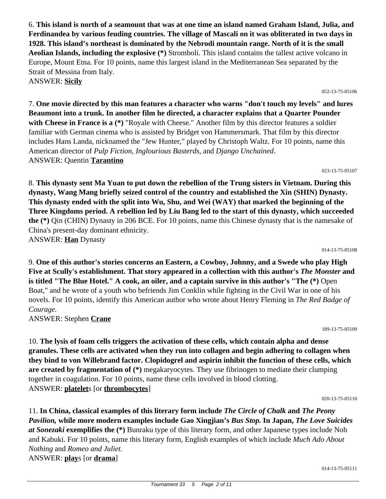6. **This island is north of a seamount that was at one time an island named Graham Island, Julia, and Ferdinandea by various feuding countries. The village of Mascali on it was obliterated in two days in 1928. This island's northeast is dominated by the Nebrodi mountain range. North of it is the small Aeolian Islands, including the explosive (\*)** Stromboli. This island contains the tallest active volcano in Europe, Mount Etna. For 10 points, name this largest island in the Mediterranean Sea separated by the Strait of Messina from Italy. ANSWER: **Sicily**

7. **One movie directed by this man features a character who warns "don't touch my levels" and lures Beaumont into a trunk. In another film he directed, a character explains that a Quarter Pounder** with Cheese in France is a  $(*)$  "Royale with Cheese." Another film by this director features a soldier familiar with German cinema who is assisted by Bridget von Hammersmark. That film by this director includes Hans Landa, nicknamed the "Jew Hunter," played by Christoph Waltz. For 10 points, name this American director of *Pulp Fiction*, *Inglourious Basterds*, and *Django Unchained*. ANSWER: Quentin **Tarantino**

8. **This dynasty sent Ma Yuan to put down the rebellion of the Trung sisters in Vietnam. During this dynasty, Wang Mang briefly seized control of the country and established the Xin (SHIN) Dynasty. This dynasty ended with the split into Wu, Shu, and Wei (WAY) that marked the beginning of the Three Kingdoms period. A rebellion led by Liu Bang led to the start of this dynasty, which succeeded the (\*)** Qin (CHIN) Dynasty in 206 BCE. For 10 points, name this Chinese dynasty that is the namesake of China's present-day dominant ethnicity. ANSWER: **Han** Dynasty

9. **One of this author's stories concerns an Eastern, a Cowboy, Johnny, and a Swede who play High Five at Scully's establishment. That story appeared in a collection with this author's** *The Monster* **and is titled "The Blue Hotel." A cook, an oiler, and a captain survive in this author's "The (\*)** Open Boat," and he wrote of a youth who befriends Jim Conklin while fighting in the Civil War in one of his novels. For 10 points, identify this American author who wrote about Henry Fleming in *The Red Badge of Courage.* ANSWER: Stephen **Crane**

10. **The lysis of foam cells triggers the activation of these cells, which contain alpha and dense granules. These cells are activated when they run into collagen and begin adhering to collagen when they bind to von Willebrand factor. Clopidogrel and aspirin inhibit the function of these cells, which are created by fragmentation of (\*)** megakaryocytes. They use fibrinogen to mediate their clumping together in coagulation. For 10 points, name these cells involved in blood clotting. ANSWER: **platelet**s [or **thrombocytes**]

11. **In China, classical examples of this literary form include** *The Circle of Chalk* **and** *The Peony Pavilion,* **while more modern examples include Gao Xingjian's** *Bus Stop.* **In Japan,** *The Love Suicides at Sonezaki* **exemplifies the (\*)** Bunraku type of this literary form, and other Japanese types include Noh and Kabuki. For 10 points, name this literary form, English examples of which include *Much Ado About*

*Nothing* and *Romeo and Juliet.* ANSWER: **play**s [or **drama**]

#### 014-13-75-05108

052-13-75-05106

023-13-75-05107

189-13-75-05109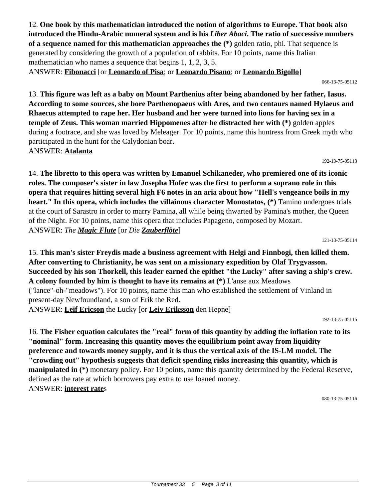12. **One book by this mathematician introduced the notion of algorithms to Europe. That book also introduced the Hindu-Arabic numeral system and is his** *Liber Abaci***. The ratio of successive numbers of a sequence named for this mathematician approaches the (\*)** golden ratio, phi. That sequence is generated by considering the growth of a population of rabbits. For 10 points, name this Italian mathematician who names a sequence that begins 1, 1, 2, 3, 5. ANSWER: **Fibonacci** [or **Leonardo of Pisa**; or **Leonardo Pisano**; or **Leonardo Bigollo**]

066-13-75-05112

13. **This figure was left as a baby on Mount Parthenius after being abandoned by her father, Iasus. According to some sources, she bore Parthenopaeus with Ares, and two centaurs named Hylaeus and Rhaecus attempted to rape her. Her husband and her were turned into lions for having sex in a temple of Zeus. This woman married Hippomenes after he distracted her with (\*)** golden apples during a footrace, and she was loved by Meleager. For 10 points, name this huntress from Greek myth who participated in the hunt for the Calydonian boar. ANSWER: **Atalanta**

192-13-75-05113

14. **The libretto to this opera was written by Emanuel Schikaneder, who premiered one of its iconic roles. The composer's sister in law Josepha Hofer was the first to perform a soprano role in this opera that requires hitting several high F6 notes in an aria about how "Hell's vengeance boils in my heart." In this opera, which includes the villainous character Monostatos, (\*)** Tamino undergoes trials at the court of Sarastro in order to marry Pamina, all while being thwarted by Pamina's mother, the Queen of the Night. For 10 points, name this opera that includes Papageno, composed by Mozart. ANSWER: *The Magic Flute* [or *Die Zauberflöte*]

121-13-75-05114

15. **This man's sister Freydis made a business agreement with Helgi and Finnbogi, then killed them. After converting to Christianity, he was sent on a missionary expedition by Olaf Trygvasson. Succeeded by his son Thorkell, this leader earned the epithet "the Lucky" after saving a ship's crew. A colony founded by him is thought to have its remains at (\*)** L'anse aux Meadows ("lance"-oh-"meadows"). For 10 points, name this man who established the settlement of Vinland in present-day Newfoundland, a son of Erik the Red. ANSWER: **Leif Ericson** the Lucky [or **Leiv Eriksson** den Hepne]

192-13-75-05115

16. **The Fisher equation calculates the "real" form of this quantity by adding the inflation rate to its "nominal" form. Increasing this quantity moves the equilibrium point away from liquidity preference and towards money supply, and it is thus the vertical axis of the IS-LM model. The "crowding out" hypothesis suggests that deficit spending risks increasing this quantity, which is manipulated in** (\*) monetary policy. For 10 points, name this quantity determined by the Federal Reserve, defined as the rate at which borrowers pay extra to use loaned money. ANSWER: **interest rate**s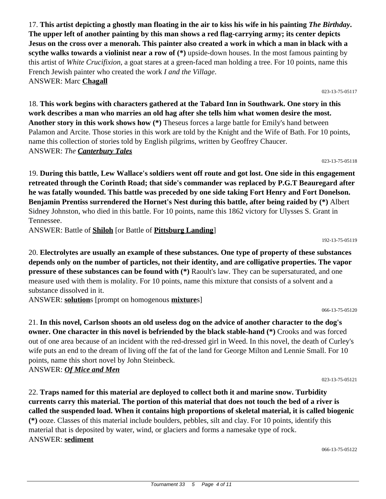17. **This artist depicting a ghostly man floating in the air to kiss his wife in his painting** *The Birthday***. The upper left of another painting by this man shows a red flag-carrying army; its center depicts Jesus on the cross over a menorah. This painter also created a work in which a man in black with a scythe walks towards a violinist near a row of (\*)** upside-down houses. In the most famous painting by this artist of *White Crucifixion*, a goat stares at a green-faced man holding a tree. For 10 points, name this French Jewish painter who created the work *I and the Village*. ANSWER: Marc **Chagall**

18. **This work begins with characters gathered at the Tabard Inn in Southwark. One story in this work describes a man who marries an old hag after she tells him what women desire the most. Another story in this work shows how (\*)** Theseus forces a large battle for Emily's hand between Palamon and Arcite. Those stories in this work are told by the Knight and the Wife of Bath. For 10 points, name this collection of stories told by English pilgrims, written by Geoffrey Chaucer. ANSWER: *The Canterbury Tales*

19. **During this battle, Lew Wallace's soldiers went off route and got lost. One side in this engagement retreated through the Corinth Road; that side's commander was replaced by P.G.T Beauregard after he was fatally wounded. This battle was preceded by one side taking Fort Henry and Fort Donelson. Benjamin Prentiss surrendered the Hornet's Nest during this battle, after being raided by (\*)** Albert Sidney Johnston, who died in this battle. For 10 points, name this 1862 victory for Ulysses S. Grant in Tennessee.

ANSWER: Battle of **Shiloh** [or Battle of **Pittsburg Landing**]

20. **Electrolytes are usually an example of these substances. One type of property of these substances depends only on the number of particles, not their identity, and are colligative properties. The vapor pressure of these substances can be found with (\*)** Raoult's law. They can be supersaturated, and one measure used with them is molality. For 10 points, name this mixture that consists of a solvent and a substance dissolved in it.

ANSWER: **solution**s [prompt on homogenous **mixture**s]

21. **In this novel, Carlson shoots an old useless dog on the advice of another character to the dog's owner. One character in this novel is befriended by the black stable-hand (\*)** Crooks and was forced out of one area because of an incident with the red-dressed girl in Weed. In this novel, the death of Curley's wife puts an end to the dream of living off the fat of the land for George Milton and Lennie Small. For 10 points, name this short novel by John Steinbeck.

ANSWER: *Of Mice and Men*

023-13-75-05121

22. **Traps named for this material are deployed to collect both it and marine snow. Turbidity currents carry this material. The portion of this material that does not touch the bed of a river is called the suspended load. When it contains high proportions of skeletal material, it is called biogenic (\*)** ooze. Classes of this material include boulders, pebbles, silt and clay. For 10 points, identify this material that is deposited by water, wind, or glaciers and forms a namesake type of rock. ANSWER: **sediment**

066-13-75-05122

023-13-75-05118

192-13-75-05119

066-13-75-05120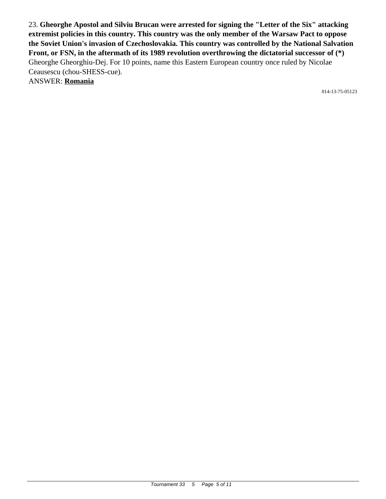23. **Gheorghe Apostol and Silviu Brucan were arrested for signing the "Letter of the Six" attacking extremist policies in this country. This country was the only member of the Warsaw Pact to oppose the Soviet Union's invasion of Czechoslovakia. This country was controlled by the National Salvation Front, or FSN, in the aftermath of its 1989 revolution overthrowing the dictatorial successor of (\*)** Gheorghe Gheorghiu-Dej. For 10 points, name this Eastern European country once ruled by Nicolae Ceausescu (chou-SHESS-cue).

ANSWER: **Romania**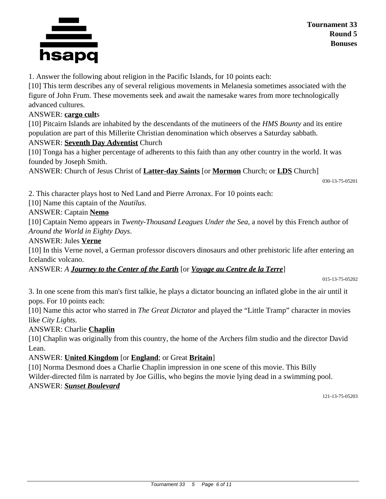

1. Answer the following about religion in the Pacific Islands, for 10 points each:

[10] This term describes any of several religious movements in Melanesia sometimes associated with the figure of John Frum. These movements seek and await the namesake wares from more technologically advanced cultures.

#### ANSWER: **cargo cult**s

[10] Pitcairn Islands are inhabited by the descendants of the mutineers of the *HMS Bounty* and its entire population are part of this Millerite Christian denomination which observes a Saturday sabbath.

#### ANSWER: **Seventh Day Adventist** Church

[10] Tonga has a higher percentage of adherents to this faith than any other country in the world. It was founded by Joseph Smith.

ANSWER: Church of Jesus Christ of **Latter-day Saints** [or **Mormon** Church; or **LDS** Church]

030-13-75-05201

2. This character plays host to Ned Land and Pierre Arronax. For 10 points each:

[10] Name this captain of the *Nautilus*.

### ANSWER: Captain **Nemo**

[10] Captain Nemo appears in *Twenty-Thousand Leagues Under the Sea*, a novel by this French author of *Around the World in Eighty Days*.

#### ANSWER: Jules **Verne**

[10] In this Verne novel, a German professor discovers dinosaurs and other prehistoric life after entering an Icelandic volcano.

ANSWER: *A Journey to the Center of the Earth* [or *Voyage au Centre de la Terre*]

015-13-75-05202

3. In one scene from this man's first talkie, he plays a dictator bouncing an inflated globe in the air until it pops. For 10 points each:

[10] Name this actor who starred in *The Great Dictator* and played the "Little Tramp" character in movies like *City Lights.*

### ANSWER: Charlie **Chaplin**

[10] Chaplin was originally from this country, the home of the Archers film studio and the director David Lean.

### ANSWER: **United Kingdom** [or **England**; or Great **Britain**]

[10] Norma Desmond does a Charlie Chaplin impression in one scene of this movie. This Billy Wilder-directed film is narrated by Joe Gillis, who begins the movie lying dead in a swimming pool. ANSWER: *Sunset Boulevard*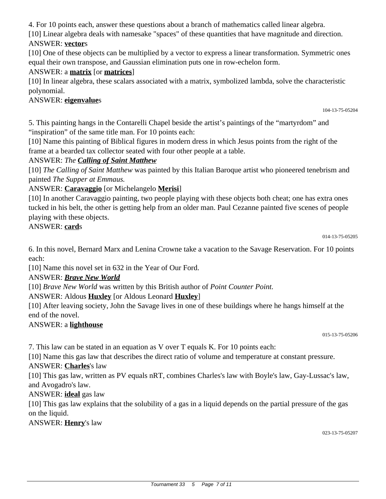4. For 10 points each, answer these questions about a branch of mathematics called linear algebra.

[10] Linear algebra deals with namesake "spaces" of these quantities that have magnitude and direction. ANSWER: **vector**s

[10] One of these objects can be multiplied by a vector to express a linear transformation. Symmetric ones equal their own transpose, and Gaussian elimination puts one in row-echelon form.

# ANSWER: a **matrix** [or **matrices**]

[10] In linear algebra, these scalars associated with a matrix, symbolized lambda, solve the characteristic polynomial.

### ANSWER: **eigenvalue**s

104-13-75-05204

5. This painting hangs in the Contarelli Chapel beside the artist's paintings of the "martyrdom" and "inspiration" of the same title man. For 10 points each:

[10] Name this painting of Biblical figures in modern dress in which Jesus points from the right of the frame at a bearded tax collector seated with four other people at a table.

# ANSWER: *The Calling of Saint Matthew*

[10] *The Calling of Saint Matthew* was painted by this Italian Baroque artist who pioneered tenebrism and painted *The Supper at Emmaus.*

# ANSWER: **Caravaggio** [or Michelangelo **Merisi**]

[10] In another Caravaggio painting, two people playing with these objects both cheat; one has extra ones tucked in his belt, the other is getting help from an older man. Paul Cezanne painted five scenes of people playing with these objects.

### ANSWER: **card**s

014-13-75-05205

6. In this novel, Bernard Marx and Lenina Crowne take a vacation to the Savage Reservation. For 10 points each:

[10] Name this novel set in 632 in the Year of Our Ford.

### ANSWER: *Brave New World*

[10] *Brave New World* was written by this British author of *Point Counter Point.*

ANSWER: Aldous **Huxley** [or Aldous Leonard **Huxley**]

[10] After leaving society, John the Savage lives in one of these buildings where he hangs himself at the end of the novel.

### ANSWER: a **lighthouse**

015-13-75-05206

7. This law can be stated in an equation as V over T equals K. For 10 points each:

[10] Name this gas law that describes the direct ratio of volume and temperature at constant pressure.

ANSWER: **Charles**'s law

[10] This gas law, written as PV equals nRT, combines Charles's law with Boyle's law, Gay-Lussac's law, and Avogadro's law.

ANSWER: **ideal** gas law

[10] This gas law explains that the solubility of a gas in a liquid depends on the partial pressure of the gas on the liquid.

ANSWER: **Henry**'s law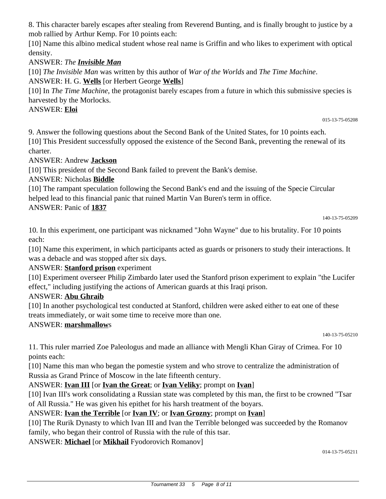8. This character barely escapes after stealing from Reverend Bunting, and is finally brought to justice by a mob rallied by Arthur Kemp. For 10 points each:

[10] Name this albino medical student whose real name is Griffin and who likes to experiment with optical density.

# ANSWER: *The Invisible Man*

[10] *The Invisible Man* was written by this author of *War of the Worlds* and *The Time Machine*.

ANSWER: H. G. **Wells** [or Herbert George **Wells**]

[10] In *The Time Machine*, the protagonist barely escapes from a future in which this submissive species is harvested by the Morlocks.

# ANSWER: **Eloi**

015-13-75-05208

9. Answer the following questions about the Second Bank of the United States, for 10 points each.

[10] This President successfully opposed the existence of the Second Bank, preventing the renewal of its charter.

# ANSWER: Andrew **Jackson**

[10] This president of the Second Bank failed to prevent the Bank's demise.

# ANSWER: Nicholas **Biddle**

[10] The rampant speculation following the Second Bank's end and the issuing of the Specie Circular helped lead to this financial panic that ruined Martin Van Buren's term in office.

# ANSWER: Panic of **1837**

140-13-75-05209

10. In this experiment, one participant was nicknamed "John Wayne" due to his brutality. For 10 points each:

[10] Name this experiment, in which participants acted as guards or prisoners to study their interactions. It was a debacle and was stopped after six days.

# ANSWER: **Stanford prison** experiment

[10] Experiment overseer Philip Zimbardo later used the Stanford prison experiment to explain "the Lucifer effect," including justifying the actions of American guards at this Iraqi prison.

# ANSWER: **Abu Ghraib**

[10] In another psychological test conducted at Stanford, children were asked either to eat one of these treats immediately, or wait some time to receive more than one.

# ANSWER: **marshmallow**s

140-13-75-05210

11. This ruler married Zoe Paleologus and made an alliance with Mengli Khan Giray of Crimea. For 10 points each:

[10] Name this man who began the pomestie system and who strove to centralize the administration of Russia as Grand Prince of Moscow in the late fifteenth century.

# ANSWER: **Ivan III** [or **Ivan the Great**; or **Ivan Veliky**; prompt on **Ivan**]

[10] Ivan III's work consolidating a Russian state was completed by this man, the first to be crowned "Tsar of All Russia." He was given his epithet for his harsh treatment of the boyars.

# ANSWER: **Ivan the Terrible** [or **Ivan IV**; or **Ivan Grozny**; prompt on **Ivan**]

[10] The Rurik Dynasty to which Ivan III and Ivan the Terrible belonged was succeeded by the Romanov family, who began their control of Russia with the rule of this tsar.

ANSWER: **Michael** [or **Mikhail** Fyodorovich Romanov]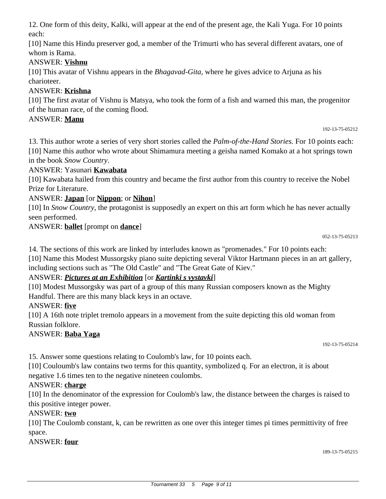12. One form of this deity, Kalki, will appear at the end of the present age, the Kali Yuga. For 10 points each:

[10] Name this Hindu preserver god, a member of the Trimurti who has several different avatars, one of whom is Rama.

# ANSWER: **Vishnu**

[10] This avatar of Vishnu appears in the *Bhagavad-Gita,* where he gives advice to Arjuna as his charioteer.

# ANSWER: **Krishna**

[10] The first avatar of Vishnu is Matsya, who took the form of a fish and warned this man, the progenitor of the human race, of the coming flood.

# ANSWER: **Manu**

13. This author wrote a series of very short stories called the *Palm-of-the-Hand Stories.* For 10 points each: [10] Name this author who wrote about Shimamura meeting a geisha named Komako at a hot springs town in the book *Snow Country*.

# ANSWER: Yasunari **Kawabata**

[10] Kawabata hailed from this country and became the first author from this country to receive the Nobel Prize for Literature.

# ANSWER: **Japan** [or **Nippon**; or **Nihon**]

[10] In *Snow Country*, the protagonist is supposedly an expert on this art form which he has never actually seen performed.

ANSWER: **ballet** [prompt on **dance**]

192-13-75-05212

14. The sections of this work are linked by interludes known as "promenades." For 10 points each:

[10] Name this Modest Mussorgsky piano suite depicting several Viktor Hartmann pieces in an art gallery, including sections such as "The Old Castle" and "The Great Gate of Kiev."

# ANSWER: *Pictures at an Exhibition* [or *Kartinki s vystavki*]

[10] Modest Mussorgsky was part of a group of this many Russian composers known as the Mighty Handful. There are this many black keys in an octave.

# ANSWER: **five**

[10] A 16th note triplet tremolo appears in a movement from the suite depicting this old woman from Russian folklore.

# ANSWER: **Baba Yaga**

192-13-75-05214

15. Answer some questions relating to Coulomb's law, for 10 points each.

[10] Couloumb's law contains two terms for this quantity, symbolized q. For an electron, it is about negative 1.6 times ten to the negative nineteen coulombs.

# ANSWER: **charge**

[10] In the denominator of the expression for Coulomb's law, the distance between the charges is raised to this positive integer power.

### ANSWER: **two**

[10] The Coulomb constant, k, can be rewritten as one over this integer times pi times permittivity of free space.

# ANSWER: **four**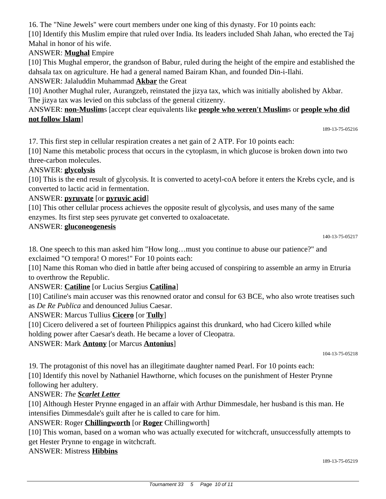Tournament 33 5 Page 10 of 11

16. The "Nine Jewels" were court members under one king of this dynasty. For 10 points each:

[10] Identify this Muslim empire that ruled over India. Its leaders included Shah Jahan, who erected the Taj Mahal in honor of his wife.

# ANSWER: **Mughal** Empire

[10] This Mughal emperor, the grandson of Babur, ruled during the height of the empire and established the dahsala tax on agriculture. He had a general named Bairam Khan, and founded Din-i-Ilahi.

ANSWER: Jalaluddin Muhammad **Akbar** the Great

[10] Another Mughal ruler, Aurangzeb, reinstated the jizya tax, which was initially abolished by Akbar. The jizya tax was levied on this subclass of the general citizenry.

# ANSWER: **non-Muslim**s [accept clear equivalents like **people who weren't Muslim**s or **people who did not follow Islam**]

17. This first step in cellular respiration creates a net gain of 2 ATP. For 10 points each:

[10] Name this metabolic process that occurs in the cytoplasm, in which glucose is broken down into two three-carbon molecules.

#### ANSWER: **glycolysis**

[10] This is the end result of glycolysis. It is converted to acetyl-coA before it enters the Krebs cycle, and is converted to lactic acid in fermentation.

#### ANSWER: **pyruvate** [or **pyruvic acid**]

[10] This other cellular process achieves the opposite result of glycolysis, and uses many of the same enzymes. Its first step sees pyruvate get converted to oxaloacetate.

#### ANSWER: **gluconeogenesis**

189-13-75-05216

18. One speech to this man asked him "How long…must you continue to abuse our patience?" and exclaimed "O tempora! O mores!" For 10 points each:

[10] Name this Roman who died in battle after being accused of conspiring to assemble an army in Etruria to overthrow the Republic.

### ANSWER: **Catiline** [or Lucius Sergius **Catilina**]

[10] Catiline's main accuser was this renowned orator and consul for 63 BCE, who also wrote treatises such as *De Re Publica* and denounced Julius Caesar.

### ANSWER: Marcus Tullius **Cicero** [or **Tully**]

[10] Cicero delivered a set of fourteen Philippics against this drunkard, who had Cicero killed while holding power after Caesar's death. He became a lover of Cleopatra.

ANSWER: Mark **Antony** [or Marcus **Antonius**]

104-13-75-05218

19. The protagonist of this novel has an illegitimate daughter named Pearl. For 10 points each:

[10] Identify this novel by Nathaniel Hawthorne, which focuses on the punishment of Hester Prynne following her adultery.

### ANSWER: *The Scarlet Letter*

[10] Although Hester Prynne engaged in an affair with Arthur Dimmesdale, her husband is this man. He intensifies Dimmesdale's guilt after he is called to care for him.

### ANSWER: Roger **Chillingworth** [or **Roger** Chillingworth]

[10] This woman, based on a woman who was actually executed for witchcraft, unsuccessfully attempts to get Hester Prynne to engage in witchcraft.

### ANSWER: Mistress **Hibbins**